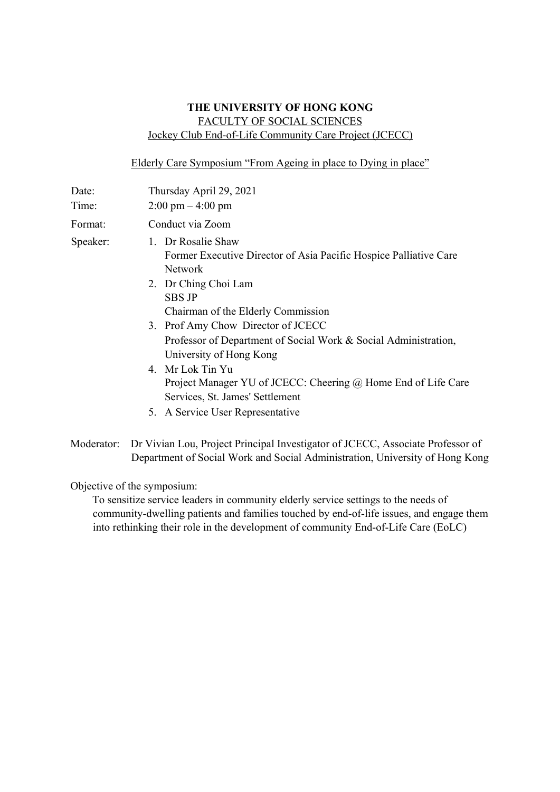## **THE UNIVERSITY OF HONG KONG**  FACULTY OF SOCIAL SCIENCES Jockey Club End-of-Life Community Care Project (JCECC)

Elderly Care Symposium "From Ageing in place to Dying in place"

| Date:    | Thursday April 29, 2021                                                                                                                                                                                                                                                                                                                                                                                                                                                           |  |
|----------|-----------------------------------------------------------------------------------------------------------------------------------------------------------------------------------------------------------------------------------------------------------------------------------------------------------------------------------------------------------------------------------------------------------------------------------------------------------------------------------|--|
| Time:    | $2:00 \text{ pm} - 4:00 \text{ pm}$                                                                                                                                                                                                                                                                                                                                                                                                                                               |  |
| Format:  | Conduct via Zoom                                                                                                                                                                                                                                                                                                                                                                                                                                                                  |  |
| Speaker: | 1. Dr Rosalie Shaw<br>Former Executive Director of Asia Pacific Hospice Palliative Care<br>Network<br>2. Dr Ching Choi Lam<br><b>SBS JP</b><br>Chairman of the Elderly Commission<br>3. Prof Amy Chow Director of JCECC<br>Professor of Department of Social Work & Social Administration,<br>University of Hong Kong<br>4. Mr Lok Tin Yu<br>Project Manager YU of JCECC: Cheering @ Home End of Life Care<br>Services, St. James' Settlement<br>5. A Service User Representative |  |
|          |                                                                                                                                                                                                                                                                                                                                                                                                                                                                                   |  |

Moderator: Dr Vivian Lou, Project Principal Investigator of JCECC, Associate Professor of Department of Social Work and Social Administration, University of Hong Kong

Objective of the symposium:

To sensitize service leaders in community elderly service settings to the needs of community-dwelling patients and families touched by end-of-life issues, and engage them into rethinking their role in the development of community End-of-Life Care (EoLC)